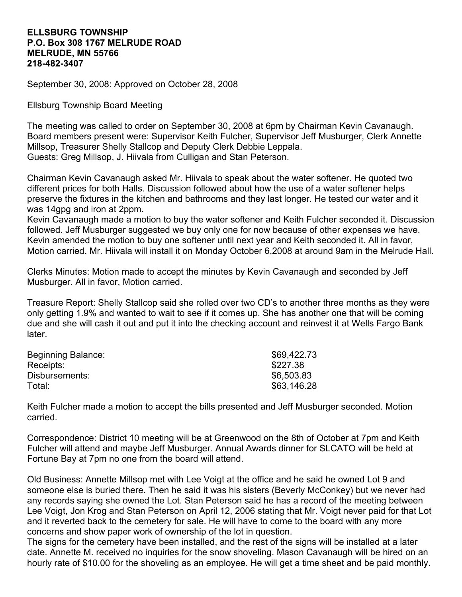## **ELLSBURG TOWNSHIP P.O. Box 308 1767 MELRUDE ROAD MELRUDE, MN 55766 218-482-3407**

September 30, 2008: Approved on October 28, 2008

Ellsburg Township Board Meeting

The meeting was called to order on September 30, 2008 at 6pm by Chairman Kevin Cavanaugh. Board members present were: Supervisor Keith Fulcher, Supervisor Jeff Musburger, Clerk Annette Millsop, Treasurer Shelly Stallcop and Deputy Clerk Debbie Leppala. Guests: Greg Millsop, J. Hiivala from Culligan and Stan Peterson.

Chairman Kevin Cavanaugh asked Mr. Hiivala to speak about the water softener. He quoted two different prices for both Halls. Discussion followed about how the use of a water softener helps preserve the fixtures in the kitchen and bathrooms and they last longer. He tested our water and it was 14gpg and iron at 2ppm.

Kevin Cavanaugh made a motion to buy the water softener and Keith Fulcher seconded it. Discussion followed. Jeff Musburger suggested we buy only one for now because of other expenses we have. Kevin amended the motion to buy one softener until next year and Keith seconded it. All in favor, Motion carried. Mr. Hiivala will install it on Monday October 6,2008 at around 9am in the Melrude Hall.

Clerks Minutes: Motion made to accept the minutes by Kevin Cavanaugh and seconded by Jeff Musburger. All in favor, Motion carried.

Treasure Report: Shelly Stallcop said she rolled over two CD's to another three months as they were only getting 1.9% and wanted to wait to see if it comes up. She has another one that will be coming due and she will cash it out and put it into the checking account and reinvest it at Wells Fargo Bank **later** 

| Beginning Balance: | \$69,422.73 |
|--------------------|-------------|
| Receipts:          | \$227.38    |
| Disbursements:     | \$6,503.83  |
| Total:             | \$63,146.28 |

Keith Fulcher made a motion to accept the bills presented and Jeff Musburger seconded. Motion carried.

Correspondence: District 10 meeting will be at Greenwood on the 8th of October at 7pm and Keith Fulcher will attend and maybe Jeff Musburger. Annual Awards dinner for SLCATO will be held at Fortune Bay at 7pm no one from the board will attend.

Old Business: Annette Millsop met with Lee Voigt at the office and he said he owned Lot 9 and someone else is buried there. Then he said it was his sisters (Beverly McConkey) but we never had any records saying she owned the Lot. Stan Peterson said he has a record of the meeting between Lee Voigt, Jon Krog and Stan Peterson on April 12, 2006 stating that Mr. Voigt never paid for that Lot and it reverted back to the cemetery for sale. He will have to come to the board with any more concerns and show paper work of ownership of the lot in question.

The signs for the cemetery have been installed, and the rest of the signs will be installed at a later date. Annette M. received no inquiries for the snow shoveling. Mason Cavanaugh will be hired on an hourly rate of \$10.00 for the shoveling as an employee. He will get a time sheet and be paid monthly.